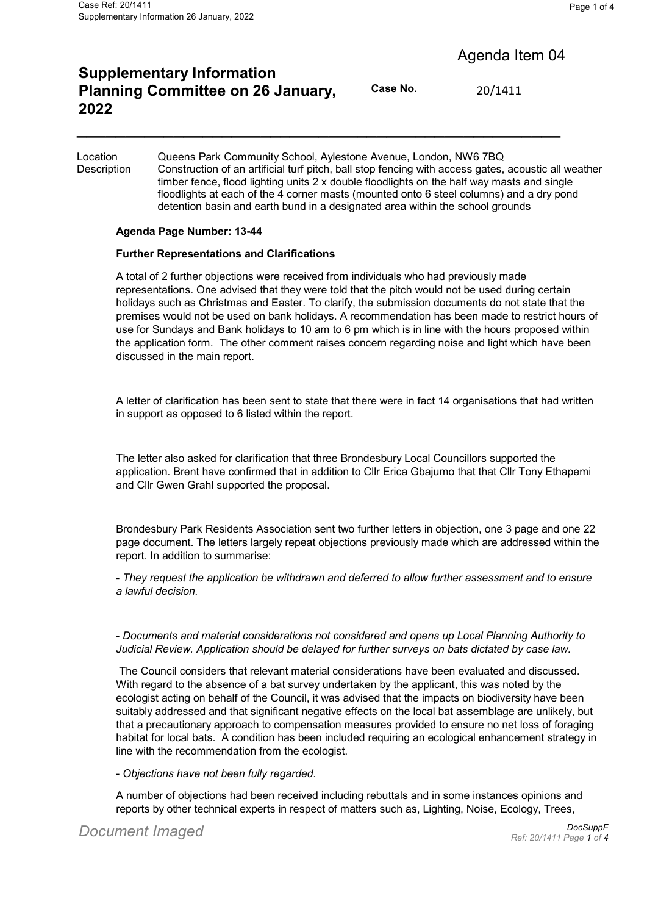# Agenda Item 04

## **Supplementary Information Planning Committee on 26 January, 2022**

**Case No.** 20/1411

Location Queens Park Community School, Aylestone Avenue, London, NW6 7BQ Description Construction of an artificial turf pitch, ball stop fencing with access gates, acoustic all weather timber fence, flood lighting units 2 x double floodlights on the half way masts and single floodlights at each of the 4 corner masts (mounted onto 6 steel columns) and a dry pond detention basin and earth bund in a designated area within the school grounds

**\_\_\_\_\_\_\_\_\_\_\_\_\_\_\_\_\_\_\_\_\_\_\_\_\_\_\_\_\_\_\_\_\_\_\_\_\_\_\_\_\_\_\_\_\_\_\_\_\_\_**

#### **Agenda Page Number: 13-44**

#### **Further Representations and Clarifications**

A total of 2 further objections were received from individuals who had previously made representations. One advised that they were told that the pitch would not be used during certain holidays such as Christmas and Easter. To clarify, the submission documents do not state that the premises would not be used on bank holidays. A recommendation has been made to restrict hours of use for Sundays and Bank holidays to 10 am to 6 pm which is in line with the hours proposed within the application form. The other comment raises concern regarding noise and light which have been discussed in the main report.

A letter of clarification has been sent to state that there were in fact 14 organisations that had written in support as opposed to 6 listed within the report.

The letter also asked for clarification that three Brondesbury Local Councillors supported the application. Brent have confirmed that in addition to Cllr Erica Gbajumo that that Cllr Tony Ethapemi and Cllr Gwen Grahl supported the proposal.

Brondesbury Park Residents Association sent two further letters in objection, one 3 page and one 22 page document. The letters largely repeat objections previously made which are addressed within the report. In addition to summarise:

- *They request the application be withdrawn and deferred to allow further assessment and to ensure a lawful decision.*

- *Documents and material considerations not considered and opens up Local Planning Authority to Judicial Review. Application should be delayed for further surveys on bats dictated by case law.*

 The Council considers that relevant material considerations have been evaluated and discussed. With regard to the absence of a bat survey undertaken by the applicant, this was noted by the ecologist acting on behalf of the Council, it was advised that the impacts on biodiversity have been suitably addressed and that significant negative effects on the local bat assemblage are unlikely, but that a precautionary approach to compensation measures provided to ensure no net loss of foraging habitat for local bats. A condition has been included requiring an ecological enhancement strategy in line with the recommendation from the ecologist.

- *Objections have not been fully regarded.*

A number of objections had been received including rebuttals and in some instances opinions and reports by other technical experts in respect of matters such as, Lighting, Noise, Ecology, Trees,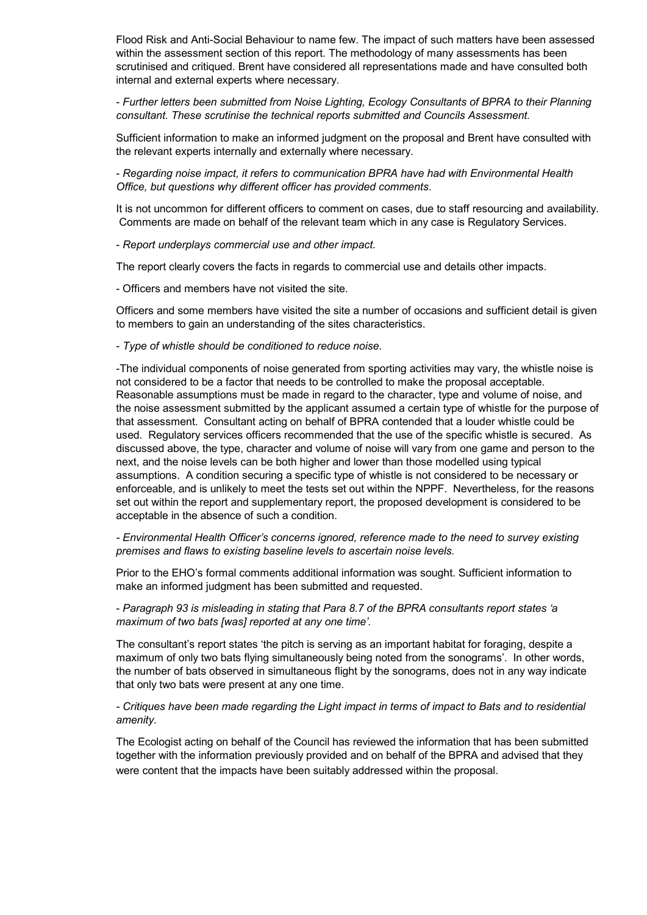Flood Risk and Anti-Social Behaviour to name few. The impact of such matters have been assessed within the assessment section of this report. The methodology of many assessments has been scrutinised and critiqued. Brent have considered all representations made and have consulted both internal and external experts where necessary.

- *Further letters been submitted from Noise Lighting, Ecology Consultants of BPRA to their Planning consultant. These scrutinise the technical reports submitted and Councils Assessment.*

Sufficient information to make an informed judgment on the proposal and Brent have consulted with the relevant experts internally and externally where necessary.

- *Regarding noise impact, it refers to communication BPRA have had with Environmental Health Office, but questions why different officer has provided comments*.

It is not uncommon for different officers to comment on cases, due to staff resourcing and availability. Comments are made on behalf of the relevant team which in any case is Regulatory Services.

- *Report underplays commercial use and other impact.*

The report clearly covers the facts in regards to commercial use and details other impacts.

- Officers and members have not visited the site.

Officers and some members have visited the site a number of occasions and sufficient detail is given to members to gain an understanding of the sites characteristics.

- *Type of whistle should be conditioned to reduce noise*.

-The individual components of noise generated from sporting activities may vary, the whistle noise is not considered to be a factor that needs to be controlled to make the proposal acceptable. Reasonable assumptions must be made in regard to the character, type and volume of noise, and the noise assessment submitted by the applicant assumed a certain type of whistle for the purpose of that assessment. Consultant acting on behalf of BPRA contended that a louder whistle could be used. Regulatory services officers recommended that the use of the specific whistle is secured. As discussed above, the type, character and volume of noise will vary from one game and person to the next, and the noise levels can be both higher and lower than those modelled using typical assumptions. A condition securing a specific type of whistle is not considered to be necessary or enforceable, and is unlikely to meet the tests set out within the NPPF. Nevertheless, for the reasons set out within the report and supplementary report, the proposed development is considered to be acceptable in the absence of such a condition.

*- Environmental Health Officer's concerns ignored, reference made to the need to survey existing premises and flaws to existing baseline levels to ascertain noise levels.*

Prior to the EHO's formal comments additional information was sought. Sufficient information to make an informed judgment has been submitted and requested.

- *Paragraph 93 is misleading in stating that Para 8.7 of the BPRA consultants report states 'a maximum of two bats [was] reported at any one time'.*

The consultant's report states 'the pitch is serving as an important habitat for foraging, despite a maximum of only two bats flying simultaneously being noted from the sonograms'. In other words, the number of bats observed in simultaneous flight by the sonograms, does not in any way indicate that only two bats were present at any one time.

*- Critiques have been made regarding the Light impact in terms of impact to Bats and to residential amenity.*

The Ecologist acting on behalf of the Council has reviewed the information that has been submitted together with the information previously provided and on behalf of the BPRA and advised that they were content that the impacts have been suitably addressed within the proposal.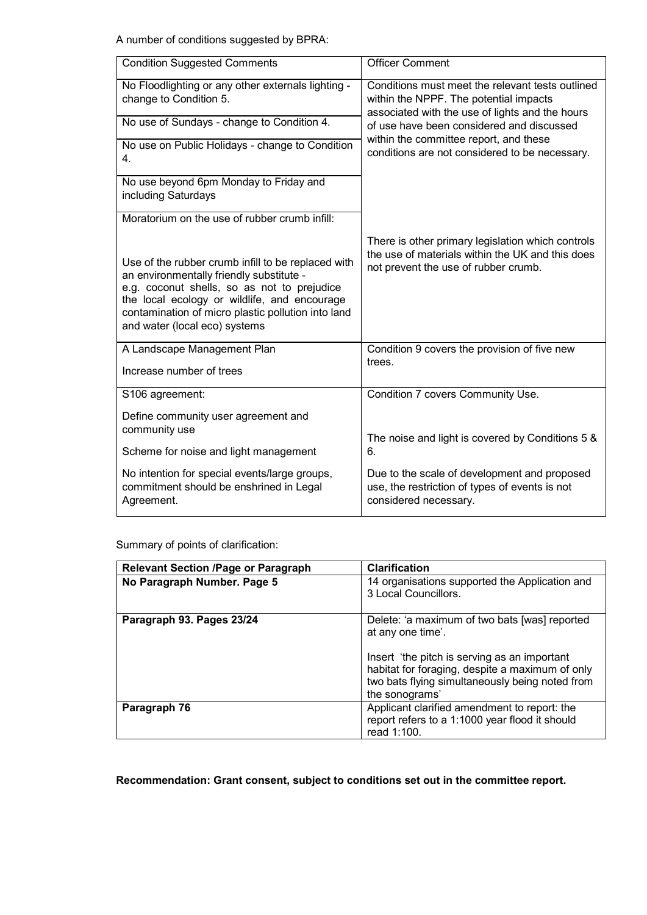A number of conditions suggested by BPRA:

| <b>Condition Suggested Comments</b>                                                                                                                                                                                                                                                  | <b>Officer Comment</b>                                                                                                                                                                                                                                                                 |
|--------------------------------------------------------------------------------------------------------------------------------------------------------------------------------------------------------------------------------------------------------------------------------------|----------------------------------------------------------------------------------------------------------------------------------------------------------------------------------------------------------------------------------------------------------------------------------------|
| No Floodlighting or any other externals lighting -<br>change to Condition 5.                                                                                                                                                                                                         | Conditions must meet the relevant tests outlined<br>within the NPPF. The potential impacts<br>associated with the use of lights and the hours<br>of use have been considered and discussed<br>within the committee report, and these<br>conditions are not considered to be necessary. |
| No use of Sundays - change to Condition 4.                                                                                                                                                                                                                                           |                                                                                                                                                                                                                                                                                        |
| No use on Public Holidays - change to Condition<br>4.                                                                                                                                                                                                                                |                                                                                                                                                                                                                                                                                        |
| No use beyond 6pm Monday to Friday and<br>including Saturdays                                                                                                                                                                                                                        |                                                                                                                                                                                                                                                                                        |
| Moratorium on the use of rubber crumb infill:                                                                                                                                                                                                                                        |                                                                                                                                                                                                                                                                                        |
| Use of the rubber crumb infill to be replaced with<br>an environmentally friendly substitute -<br>e.g. coconut shells, so as not to prejudice<br>the local ecology or wildlife, and encourage<br>contamination of micro plastic pollution into land<br>and water (local eco) systems | There is other primary legislation which controls<br>the use of materials within the UK and this does<br>not prevent the use of rubber crumb.                                                                                                                                          |
| A Landscape Management Plan                                                                                                                                                                                                                                                          | Condition 9 covers the provision of five new<br>trees.                                                                                                                                                                                                                                 |
| Increase number of trees                                                                                                                                                                                                                                                             |                                                                                                                                                                                                                                                                                        |
| S106 agreement:                                                                                                                                                                                                                                                                      | Condition 7 covers Community Use.                                                                                                                                                                                                                                                      |
| Define community user agreement and<br>community use                                                                                                                                                                                                                                 |                                                                                                                                                                                                                                                                                        |
|                                                                                                                                                                                                                                                                                      | The noise and light is covered by Conditions 5 &<br>6.                                                                                                                                                                                                                                 |
| Scheme for noise and light management                                                                                                                                                                                                                                                |                                                                                                                                                                                                                                                                                        |
| No intention for special events/large groups,<br>commitment should be enshrined in Legal<br>Agreement.                                                                                                                                                                               | Due to the scale of development and proposed<br>use, the restriction of types of events is not<br>considered necessary.                                                                                                                                                                |

Summary of points of clarification:

| <b>Relevant Section /Page or Paragraph</b> | <b>Clarification</b>                                                                                                                                                                                                                       |
|--------------------------------------------|--------------------------------------------------------------------------------------------------------------------------------------------------------------------------------------------------------------------------------------------|
| No Paragraph Number. Page 5                | 14 organisations supported the Application and<br>3 Local Councillors.                                                                                                                                                                     |
| Paragraph 93. Pages 23/24                  | Delete: 'a maximum of two bats [was] reported<br>at any one time'.<br>Insert 'the pitch is serving as an important<br>habitat for foraging, despite a maximum of only<br>two bats flying simultaneously being noted from<br>the sonograms' |
| Paragraph 76                               | Applicant clarified amendment to report: the<br>report refers to a 1:1000 year flood it should<br>read 1:100.                                                                                                                              |

### **Recommendation: Grant consent, subject to conditions set out in the committee report.**